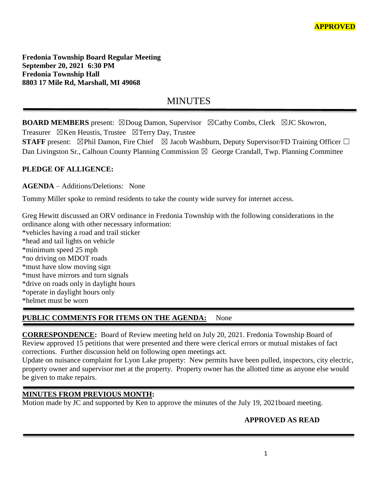**Fredonia Township Board Regular Meeting September 20, 2021 6:30 PM Fredonia Township Hall 8803 17 Mile Rd, Marshall, MI 49068**

# **MINUTES**

**BOARD MEMBERS** present: ⊠Doug Damon, Supervisor ⊠Cathy Combs, Clerk ⊠JC Skowron,

Treasurer  $\boxtimes$ Ken Heustis, Trustee  $\boxtimes$ Terry Day, Trustee

**STAFF** present: ⊠Phil Damon, Fire Chief ⊠ Jacob Washburn, Deputy Supervisor/FD Training Officer □ Dan Livingston Sr., Calhoun County Planning Commission  $\boxtimes$  George Crandall, Twp. Planning Committee

# **PLEDGE OF ALLIGENCE:**

**AGENDA** – Additions/Deletions: None

Tommy Miller spoke to remind residents to take the county wide survey for internet access.

Greg Hewitt discussed an ORV ordinance in Fredonia Township with the following considerations in the ordinance along with other necessary information:

\*vehicles having a road and trail sticker \*head and tail lights on vehicle \*minimum speed 25 mph \*no driving on MDOT roads \*must have slow moving sign \*must have mirrors and turn signals \*drive on roads only in daylight hours \*operate in daylight hours only \*helmet must be worn

# **PUBLIC COMMENTS FOR ITEMS ON THE AGENDA:** None

**CORRESPONDENCE:** Board of Review meeting held on July 20, 2021. Fredonia Township Board of Review approved 15 petitions that were presented and there were clerical errors or mutual mistakes of fact corrections. Further discussion held on following open meetings act.

Update on nuisance complaint for Lyon Lake property: New permits have been pulled, inspectors, city electric, property owner and supervisor met at the property. Property owner has the allotted time as anyone else would be given to make repairs.

# **MINUTES FROM PREVIOUS MONTH:**

Motion made by JC and supported by Ken to approve the minutes of the July 19, 2021board meeting.

# **APPROVED AS READ**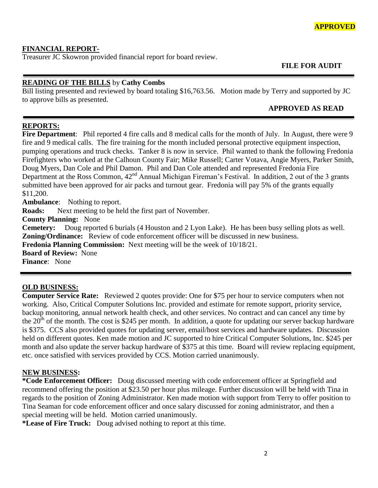# **FINANCIAL REPORT-**

Treasurer JC Skowron provided financial report for board review.

 **FILE FOR AUDIT** 

# **READING OF THE BILLS** by **Cathy Combs**

Bill listing presented and reviewed by board totaling \$16,763.56. Motion made by Terry and supported by JC to approve bills as presented.

## **APPROVED AS READ**

# **REPORTS:**

**Fire Department**: Phil reported 4 fire calls and 8 medical calls for the month of July. In August, there were 9 fire and 9 medical calls. The fire training for the month included personal protective equipment inspection, pumping operations and truck checks. Tanker 8 is now in service. Phil wanted to thank the following Fredonia Firefighters who worked at the Calhoun County Fair; Mike Russell; Carter Votava, Angie Myers, Parker Smith, Doug Myers, Dan Cole and Phil Damon. Phil and Dan Cole attended and represented Fredonia Fire Department at the Ross Common, 42<sup>nd</sup> Annual Michigan Fireman's Festival. In addition, 2 out of the 3 grants submitted have been approved for air packs and turnout gear. Fredonia will pay 5% of the grants equally \$11,200.

**Ambulance**: Nothing to report. **Roads:** Next meeting to be held the first part of November. **County Planning:** None **Cemetery:** Doug reported 6 burials (4 Houston and 2 Lyon Lake). He has been busy selling plots as well. **Zoning/Ordinance:** Review of code enforcement officer will be discussed in new business. **Fredonia Planning Commission:** Next meeting will be the week of 10/18/21. **Board of Review:** None **Finance**: None

# **OLD BUSINESS:**

**Computer Service Rate:** Reviewed 2 quotes provide: One for \$75 per hour to service computers when not working. Also, Critical Computer Solutions Inc. provided and estimate for remote support, priority service, backup monitoring, annual network health check, and other services. No contract and can cancel any time by the  $20<sup>th</sup>$  of the month. The cost is \$245 per month. In addition, a quote for updating our server backup hardware is \$375. CCS also provided quotes for updating server, email/host services and hardware updates. Discussion held on different quotes. Ken made motion and JC supported to hire Critical Computer Solutions, Inc. \$245 per month and also update the server backup hardware of \$375 at this time. Board will review replacing equipment, etc. once satisfied with services provided by CCS. Motion carried unanimously.

# **NEW BUSINESS:**

**\*Code Enforcement Officer:** Doug discussed meeting with code enforcement officer at Springfield and recommend offering the position at \$23.50 per hour plus mileage. Further discussion will be held with Tina in regards to the position of Zoning Administrator. Ken made motion with support from Terry to offer position to Tina Seaman for code enforcement officer and once salary discussed for zoning administrator, and then a special meeting will be held. Motion carried unanimously.

**\*Lease of Fire Truck:** Doug advised nothing to report at this time.